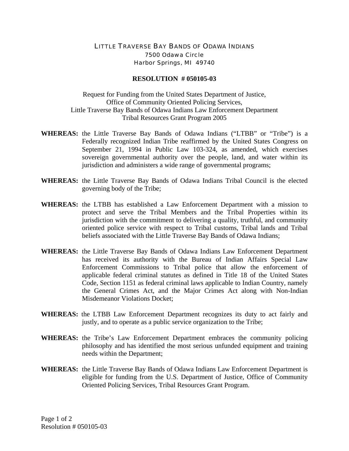## LITTLE TRAVERSE BAY BANDS OF ODAWA INDIANS 7500 Odawa Circle Harbor Springs, MI 49740

## **RESOLUTION # 050105-03**

Request for Funding from the United States Department of Justice, Office of Community Oriented Policing Services, Little Traverse Bay Bands of Odawa Indians Law Enforcement Department Tribal Resources Grant Program 2005

- **WHEREAS:** the Little Traverse Bay Bands of Odawa Indians ("LTBB" or "Tribe") is a Federally recognized Indian Tribe reaffirmed by the United States Congress on September 21, 1994 in Public Law 103-324, as amended, which exercises sovereign governmental authority over the people, land, and water within its jurisdiction and administers a wide range of governmental programs;
- **WHEREAS:** the Little Traverse Bay Bands of Odawa Indians Tribal Council is the elected governing body of the Tribe;
- **WHEREAS:** the LTBB has established a Law Enforcement Department with a mission to protect and serve the Tribal Members and the Tribal Properties within its jurisdiction with the commitment to delivering a quality, truthful, and community oriented police service with respect to Tribal customs, Tribal lands and Tribal beliefs associated with the Little Traverse Bay Bands of Odawa Indians;
- **WHEREAS:** the Little Traverse Bay Bands of Odawa Indians Law Enforcement Department has received its authority with the Bureau of Indian Affairs Special Law Enforcement Commissions to Tribal police that allow the enforcement of applicable federal criminal statutes as defined in Title 18 of the United States Code, Section 1151 as federal criminal laws applicable to Indian Country, namely the General Crimes Act, and the Major Crimes Act along with Non-Indian Misdemeanor Violations Docket;
- **WHEREAS:** the LTBB Law Enforcement Department recognizes its duty to act fairly and justly, and to operate as a public service organization to the Tribe;
- **WHEREAS:** the Tribe's Law Enforcement Department embraces the community policing philosophy and has identified the most serious unfunded equipment and training needs within the Department;
- **WHEREAS:** the Little Traverse Bay Bands of Odawa Indians Law Enforcement Department is eligible for funding from the U.S. Department of Justice, Office of Community Oriented Policing Services, Tribal Resources Grant Program.